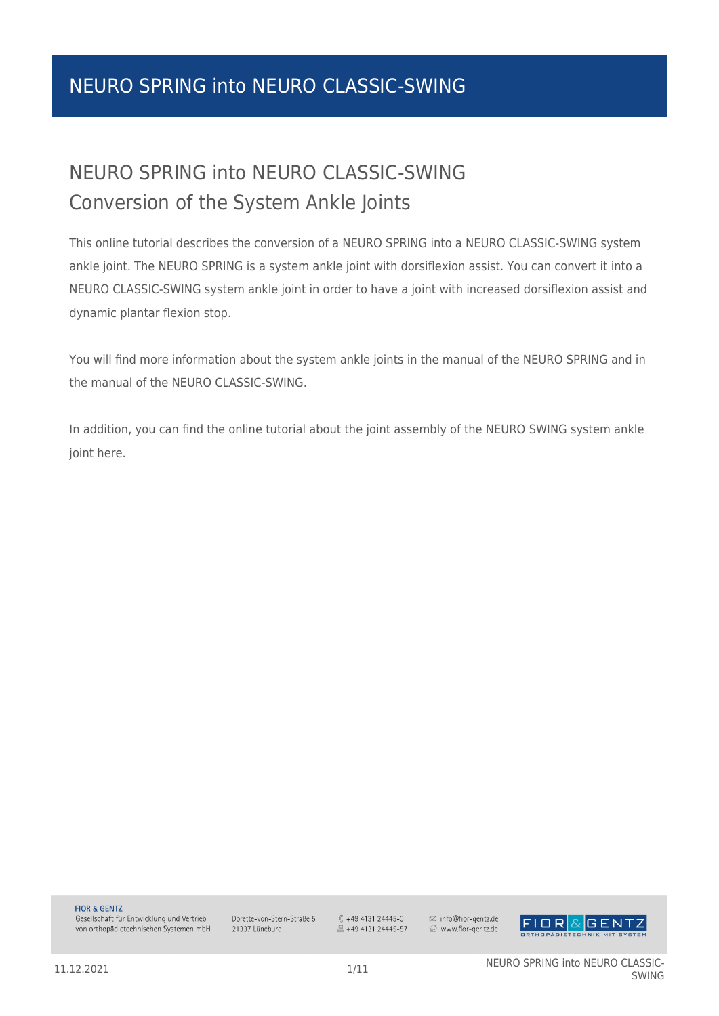## NEURO SPRING into NEURO CLASSIC-SWING

## NEURO SPRING into NEURO CLASSIC-SWING Conversion of the System Ankle Joints

This online tutorial describes the conversion of a NEURO SPRING into a NEURO CLASSIC-SWING system ankle joint. The NEURO SPRING is a system ankle joint with dorsiflexion assist. You can convert it into a NEURO CLASSIC-SWING system ankle joint in order to have a joint with increased dorsiflexion assist and dynamic plantar flexion stop.

You will find more information about the system ankle joints in the [manual](fileadmin/user_upload/pdf/produktbeilagen/PB1200-GB_Instructions_for_Use_for_Orthotists_or_Qualified_Trained_Experts_NEURO_SPRING__NEURO_VARIO-SPRING.pdf) of the NEURO SPRING and in the [manual](fileadmin/user_upload/pdf/produktbeilagen/PB1300-EN_Instructions_for_Use_for_Orthotists_or_Qualified_Trained_Experts_System_Ankle_Joints.pdf) of the NEURO CLASSIC-SWING.

In addition, you can find the online tutorial about the joint assembly of the NEURO SWING system ankle joint [here](https://www.fior-gentz.us/index.php?id=79&L=0).

**FIOR & GENTZ** 

Gesellschaft für Entwicklung und Vertrieb von orthopädietechnischen Systemen mbH Dorette-von-Stern-Straße 5 21337 Lüneburg

€ +49 4131 24445-0 ■ +49 4131 24445-57

 $\boxtimes$  info@fior-gentz.de ₩ww.fior-gentz.de

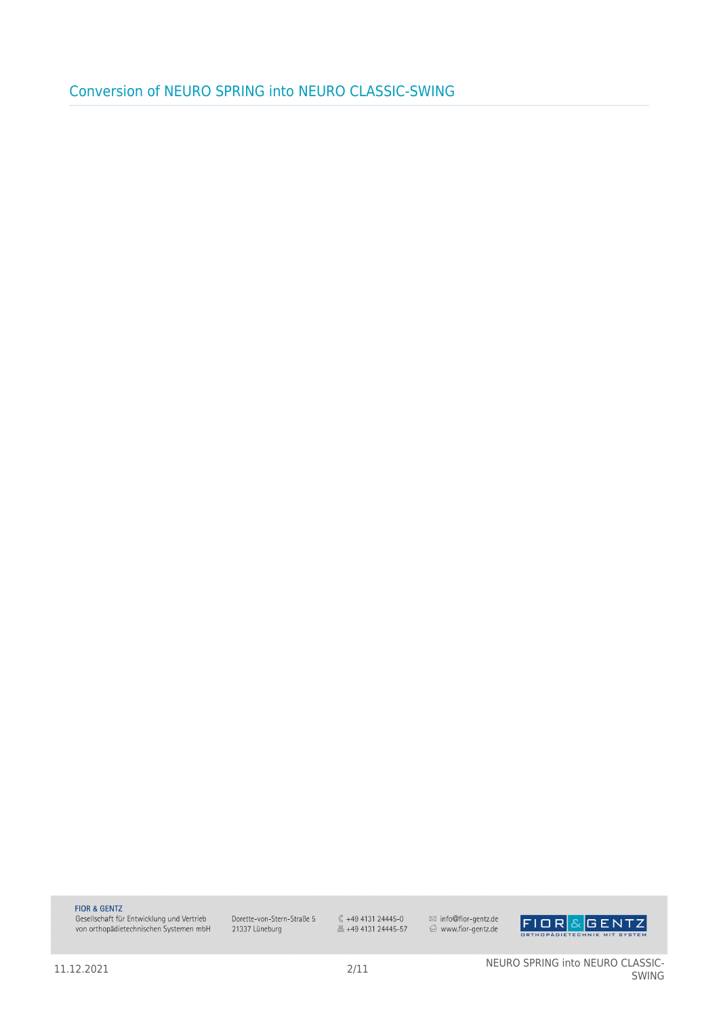**FIOR & GENTZ** 

Gesellschaft für Entwicklung und Vertrieb<br>von orthopädietechnischen Systemen mbH

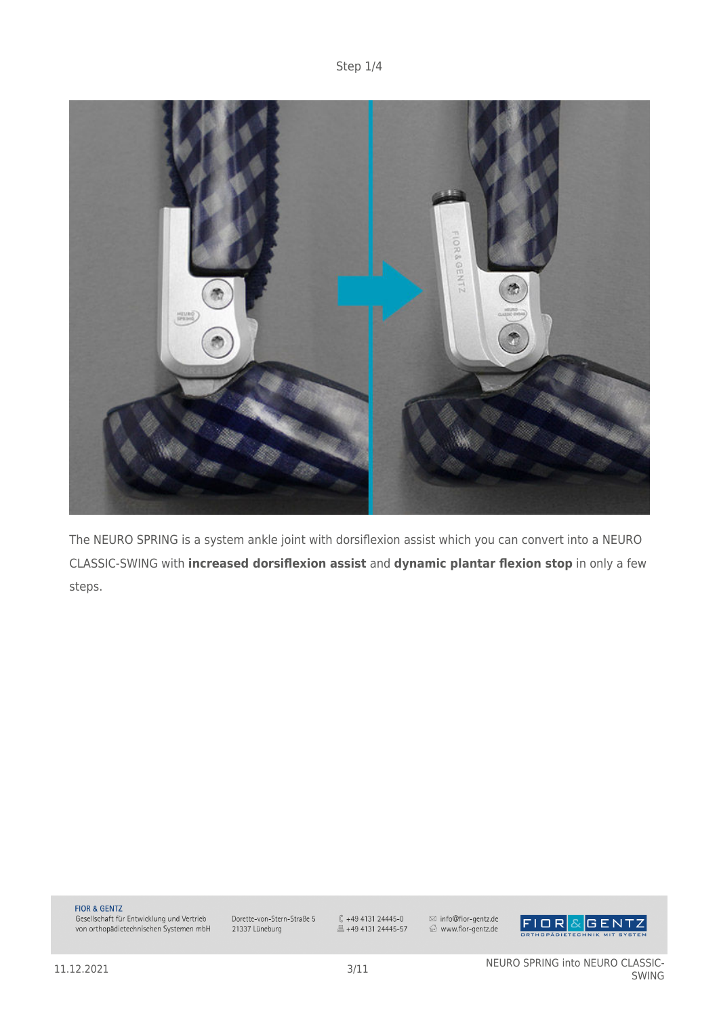

The NEURO SPRING is a system ankle joint with dorsiflexion assist which you can convert into a NEURO CLASSIC-SWING with **increased dorsiflexion assist** and **dynamic plantar flexion stop** in only a few steps.

**FIOR & GENTZ** 

Gesellschaft für Entwicklung und Vertrieb<br>von orthopädietechnischen Systemen mbH

Dorette-von-Stern-Straße 5 21337 Lüneburg

€ +49 4131 24445-0 ■ +49 4131 24445-57

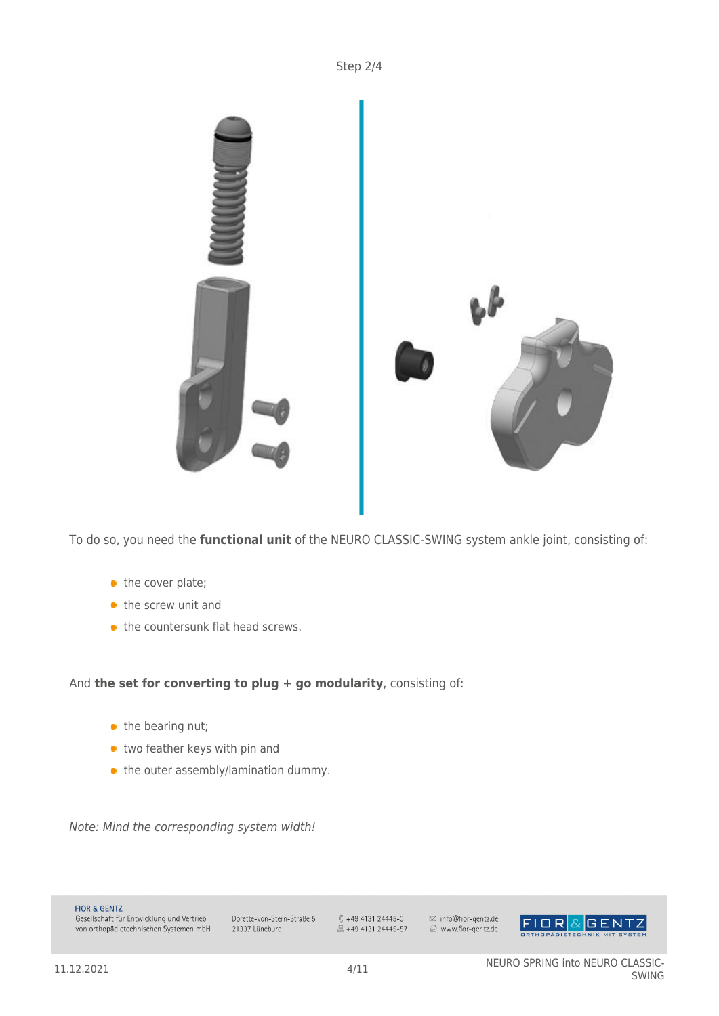



To do so, you need the **functional unit** of the NEURO CLASSIC-SWING system ankle joint, consisting of:

- $\bullet$  the cover plate;
- the screw unit and
- the countersunk flat head screws.

And **the set for converting to plug + go modularity**, consisting of:

- $\bullet$  the bearing nut;
- **two feather keys with pin and**
- the outer assembly/lamination dummy.

Note: Mind the corresponding system width!

€ +49 4131 24445-0 昌+49 4131 24445-57

 $\boxtimes$  info@fior-gentz.de the www.fior-gentz.de

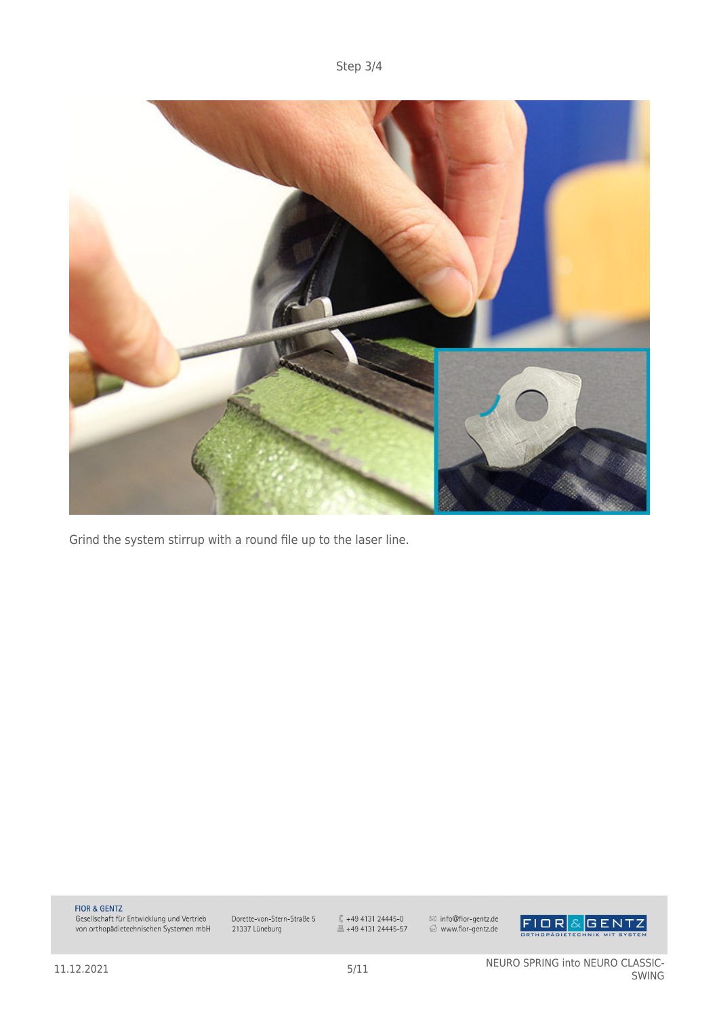

Grind the system stirrup with a round file up to the laser line.

**FIOR & GENTZ** 

Gesellschaft für Entwicklung und Vertrieb<br>von orthopädietechnischen Systemen mbH

Dorette-von-Stern-Straße 5 21337 Lüneburg

€ +49 4131 24445-0<br>- +49 4131 24445-57

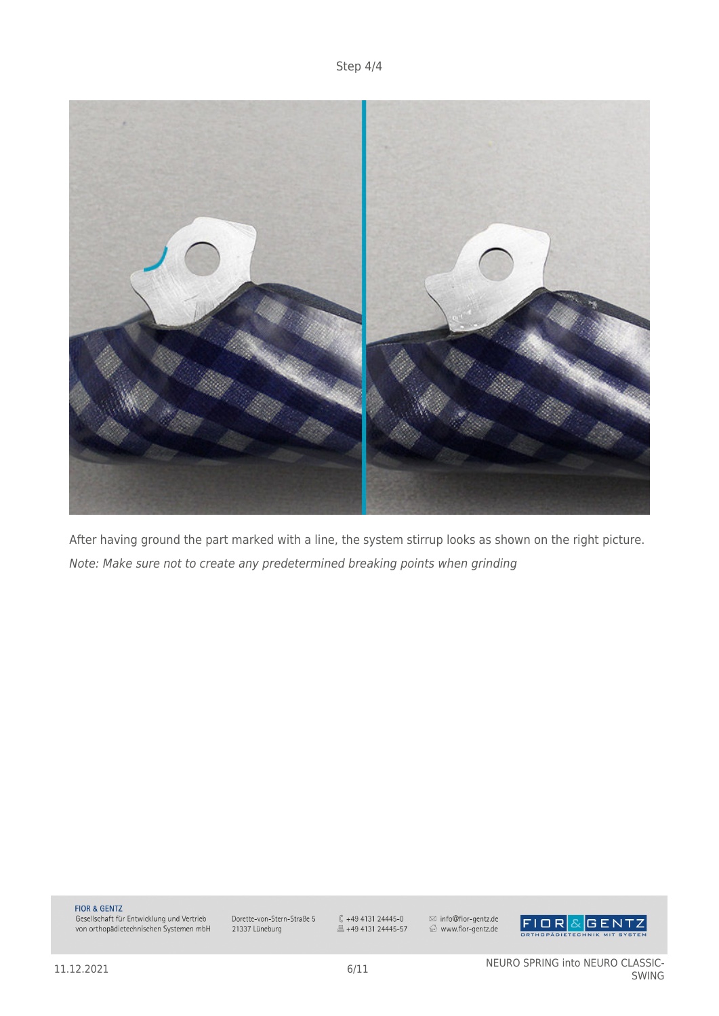

After having ground the part marked with a line, the system stirrup looks as shown on the right picture. Note: Make sure not to create any predetermined breaking points when grinding

**FIOR & GENTZ** 

Gesellschaft für Entwicklung und Vertrieb<br>von orthopädietechnischen Systemen mbH

Dorette-von-Stern-Straße 5 21337 Lüneburg

€ +49 4131 24445-0 ■ +49 4131 24445-57

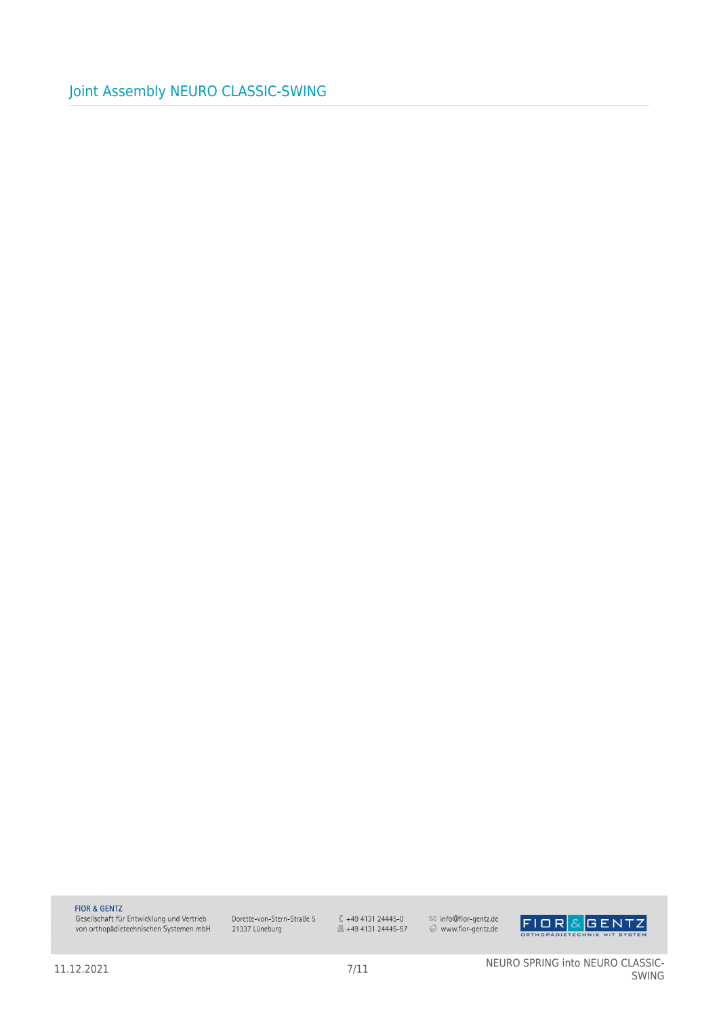Joint Assembly NEURO CLASSIC-SWING

**FIOR & GENTZ** 

Gesellschaft für Entwicklung und Vertrieb<br>von orthopädietechnischen Systemen mbH

21337 Lüneburg

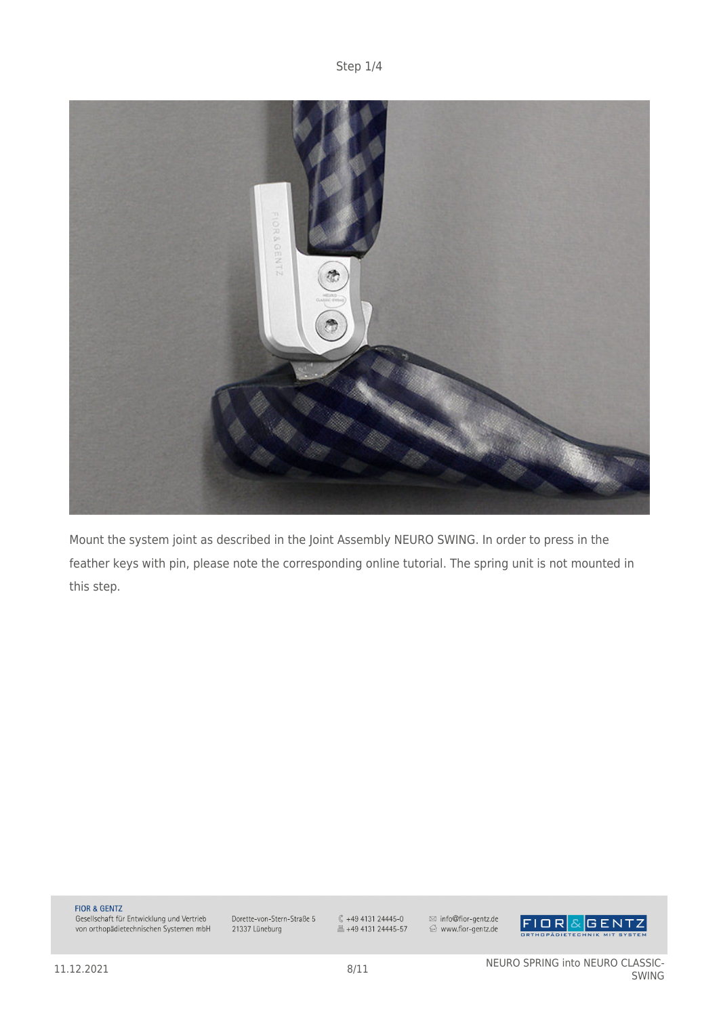

Mount the system joint as described in the [Joint Assembly NEURO SWING.](https://www.fior-gentz.us/index.php?id=79&L=0) In order to press in the feather keys with pin, please note the corresponding [online tutorial.](https://www.fior-gentz.us/index.php?id=631&L=0) The spring unit is not mounted in this step.

## **FIOR & GENTZ**

Gesellschaft für Entwicklung und Vertrieb<br>von orthopädietechnischen Systemen mbH

Dorette-von-Stern-Straße 5 21337 Lüneburg

€ +49 4131 24445-0 ■ +49 4131 24445-57

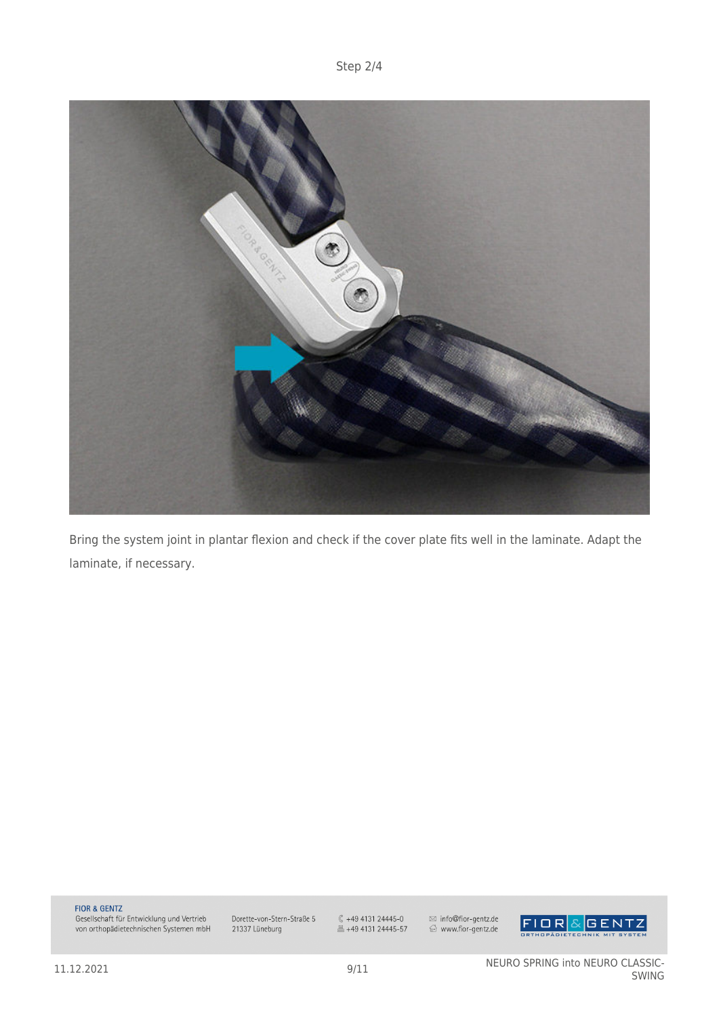

Bring the system joint in plantar flexion and check if the cover plate fits well in the laminate. Adapt the laminate, if necessary.

**FIOR & GENTZ** 

Gesellschaft für Entwicklung und Vertrieb<br>von orthopädietechnischen Systemen mbH

Dorette-von-Stern-Straße 5 21337 Lüneburg

€ +49 4131 24445-0 ■ +49 4131 24445-57

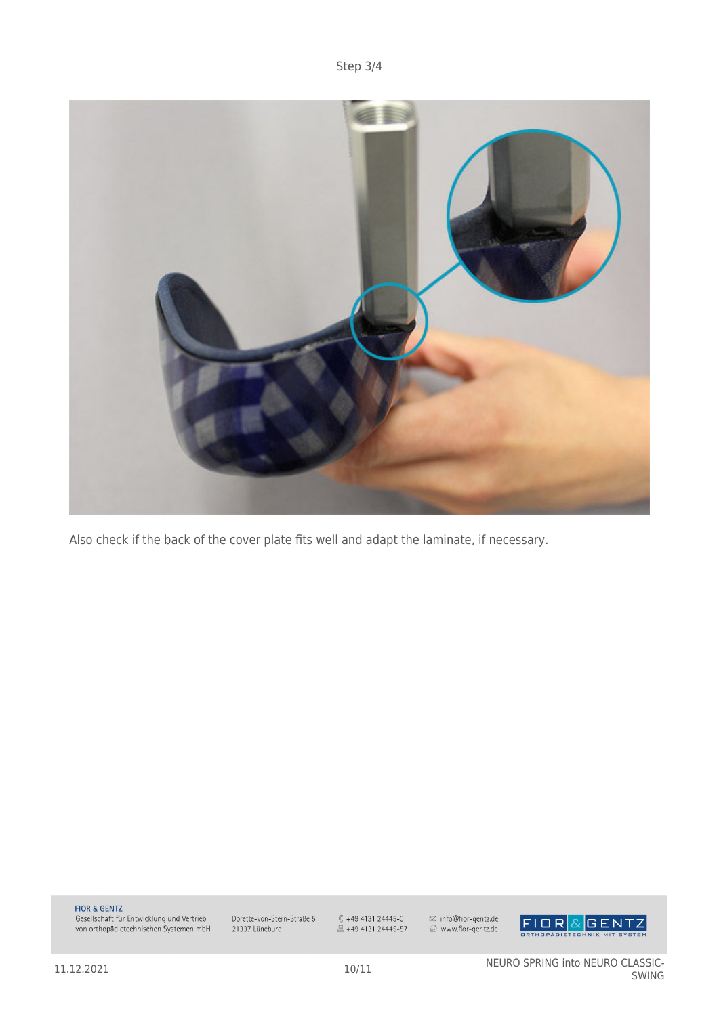

Also check if the back of the cover plate fits well and adapt the laminate, if necessary.

**FIOR & GENTZ** 

Gesellschaft für Entwicklung und Vertrieb<br>von orthopädietechnischen Systemen mbH

Dorette-von-Stern-Straße 5 21337 Lüneburg

€ +49 4131 24445-0 昌+49 4131 24445-57